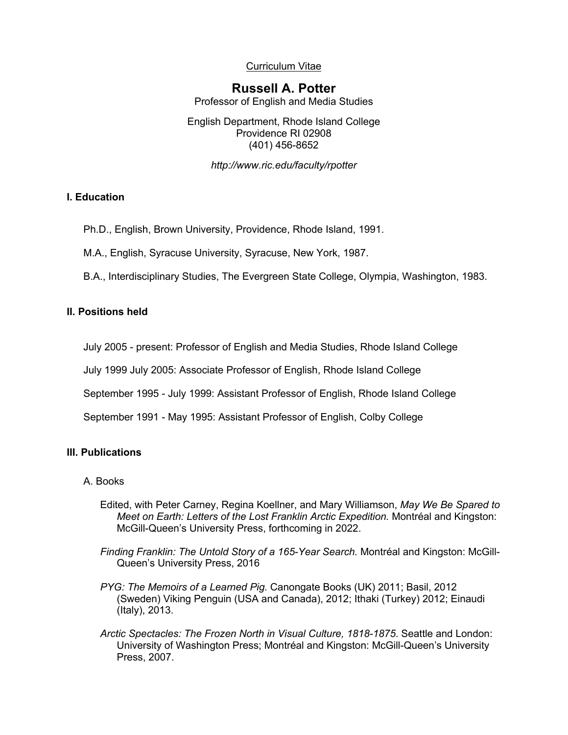Curriculum Vitae

# **Russell A. Potter**

Professor of English and Media Studies

English Department, Rhode Island College Providence RI 02908 (401) 456-8652

*http://www.ric.edu/faculty/rpotter*

# **I. Education**

Ph.D., English, Brown University, Providence, Rhode Island, 1991.

M.A., English, Syracuse University, Syracuse, New York, 1987.

B.A., Interdisciplinary Studies, The Evergreen State College, Olympia, Washington, 1983.

# **II. Positions held**

July 2005 - present: Professor of English and Media Studies, Rhode Island College

July 1999 July 2005: Associate Professor of English, Rhode Island College

September 1995 - July 1999: Assistant Professor of English, Rhode Island College

September 1991 - May 1995: Assistant Professor of English, Colby College

# **III. Publications**

# A. Books

- Edited, with Peter Carney, Regina Koellner, and Mary Williamson, *May We Be Spared to Meet on Earth: Letters of the Lost Franklin Arctic Expedition.* Montréal and Kingston: McGill-Queen's University Press, forthcoming in 2022.
- *Finding Franklin: The Untold Story of a 165-Year Search.* Montréal and Kingston: McGill-Queen's University Press, 2016
- *PYG: The Memoirs of a Learned Pig.* Canongate Books (UK) 2011; Basil, 2012 (Sweden) Viking Penguin (USA and Canada), 2012; Ithaki (Turkey) 2012; Einaudi (Italy), 2013.
- *Arctic Spectacles: The Frozen North in Visual Culture, 1818-1875*. Seattle and London: University of Washington Press; Montréal and Kingston: McGill-Queen's University Press, 2007.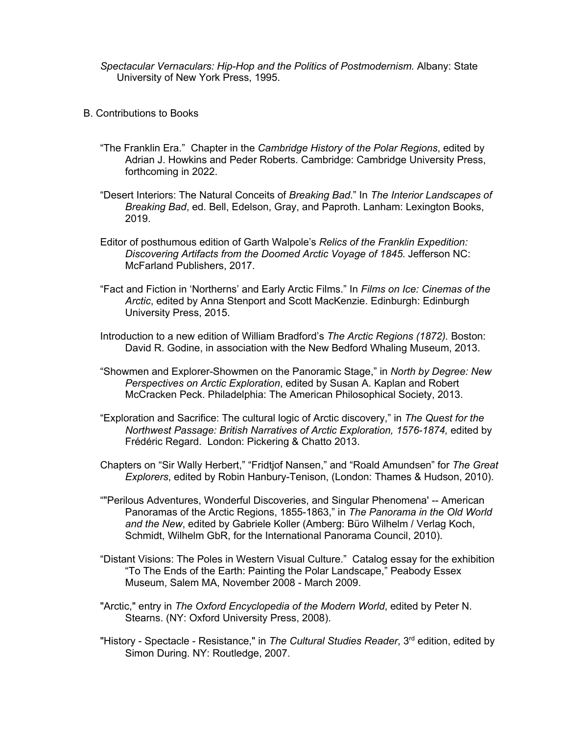*Spectacular Vernaculars: Hip-Hop and the Politics of Postmodernism.* Albany: State University of New York Press, 1995.

- B. Contributions to Books
	- "The Franklin Era." Chapter in the *Cambridge History of the Polar Regions*, edited by Adrian J. Howkins and Peder Roberts. Cambridge: Cambridge University Press, forthcoming in 2022.
	- "Desert Interiors: The Natural Conceits of *Breaking Bad*." In *The Interior Landscapes of Breaking Bad*, ed. Bell, Edelson, Gray, and Paproth. Lanham: Lexington Books, 2019.
	- Editor of posthumous edition of Garth Walpole's *Relics of the Franklin Expedition: Discovering Artifacts from the Doomed Arctic Voyage of 1845*. Jefferson NC: McFarland Publishers, 2017.
	- "Fact and Fiction in 'Northerns' and Early Arctic Films." In *Films on Ice: Cinemas of the Arctic*, edited by Anna Stenport and Scott MacKenzie. Edinburgh: Edinburgh University Press, 2015.
	- Introduction to a new edition of William Bradford's *The Arctic Regions (1872).* Boston: David R. Godine, in association with the New Bedford Whaling Museum, 2013.
	- "Showmen and Explorer-Showmen on the Panoramic Stage," in *North by Degree: New Perspectives on Arctic Exploration*, edited by Susan A. Kaplan and Robert McCracken Peck. Philadelphia: The American Philosophical Society, 2013.
	- "Exploration and Sacrifice: The cultural logic of Arctic discovery," in *The Quest for the Northwest Passage: British Narratives of Arctic Exploration, 1576-1874,* edited by Frédéric Regard. London: Pickering & Chatto 2013.
	- Chapters on "Sir Wally Herbert," "Fridtjof Nansen," and "Roald Amundsen" for *The Great Explorers*, edited by Robin Hanbury-Tenison, (London: Thames & Hudson, 2010).
	- ""Perilous Adventures, Wonderful Discoveries, and Singular Phenomena' -- American Panoramas of the Arctic Regions, 1855-1863," in *The Panorama in the Old World and the New*, edited by Gabriele Koller (Amberg: Büro Wilhelm / Verlag Koch, Schmidt, Wilhelm GbR, for the International Panorama Council, 2010).
	- "Distant Visions: The Poles in Western Visual Culture." Catalog essay for the exhibition "To The Ends of the Earth: Painting the Polar Landscape," Peabody Essex Museum, Salem MA, November 2008 - March 2009.
	- "Arctic," entry in *The Oxford Encyclopedia of the Modern World*, edited by Peter N. Stearns. (NY: Oxford University Press, 2008).
	- "History Spectacle Resistance," in *The Cultural Studies Reader*, 3<sup>rd</sup> edition, edited by Simon During. NY: Routledge, 2007.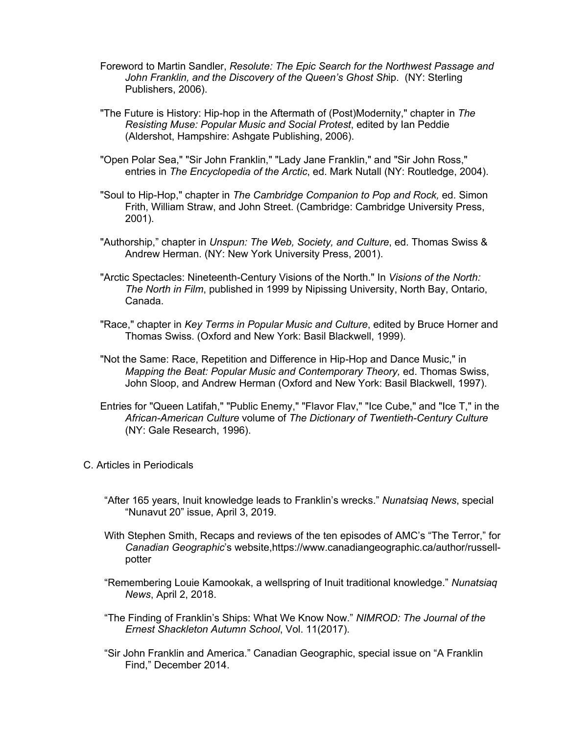- Foreword to Martin Sandler, *Resolute: The Epic Search for the Northwest Passage and John Franklin, and the Discovery of the Queen's Ghost Sh*ip. (NY: Sterling Publishers, 2006).
- "The Future is History: Hip-hop in the Aftermath of (Post)Modernity," chapter in *The Resisting Muse: Popular Music and Social Protest*, edited by Ian Peddie (Aldershot, Hampshire: Ashgate Publishing, 2006).
- "Open Polar Sea," "Sir John Franklin," "Lady Jane Franklin," and "Sir John Ross," entries in *The Encyclopedia of the Arctic*, ed. Mark Nutall (NY: Routledge, 2004).
- "Soul to Hip-Hop," chapter in *The Cambridge Companion to Pop and Rock,* ed. Simon Frith, William Straw, and John Street. (Cambridge: Cambridge University Press, 2001).
- "Authorship," chapter in *Unspun: The Web, Society, and Culture*, ed. Thomas Swiss & Andrew Herman. (NY: New York University Press, 2001).
- "Arctic Spectacles: Nineteenth-Century Visions of the North." In *Visions of the North: The North in Film*, published in 1999 by Nipissing University, North Bay, Ontario, Canada.
- "Race," chapter in *Key Terms in Popular Music and Culture*, edited by Bruce Horner and Thomas Swiss. (Oxford and New York: Basil Blackwell, 1999).
- "Not the Same: Race, Repetition and Difference in Hip-Hop and Dance Music," in *Mapping the Beat: Popular Music and Contemporary Theory,* ed. Thomas Swiss, John Sloop, and Andrew Herman (Oxford and New York: Basil Blackwell, 1997).
- Entries for "Queen Latifah," "Public Enemy," "Flavor Flav," "Ice Cube," and "Ice T," in the *African-American Culture* volume of *The Dictionary of Twentieth-Century Culture* (NY: Gale Research, 1996).
- C. Articles in Periodicals
	- "After 165 years, Inuit knowledge leads to Franklin's wrecks." *Nunatsiaq News*, special "Nunavut 20" issue, April 3, 2019.
	- With Stephen Smith, Recaps and reviews of the ten episodes of AMC's "The Terror," for *Canadian Geographic*'s website,https://www.canadiangeographic.ca/author/russellpotter
	- "Remembering Louie Kamookak, a wellspring of Inuit traditional knowledge." *Nunatsiaq News*, April 2, 2018.
	- "The Finding of Franklin's Ships: What We Know Now." *NIMROD: The Journal of the Ernest Shackleton Autumn School*, Vol. 11(2017).
	- "Sir John Franklin and America." Canadian Geographic, special issue on "A Franklin Find," December 2014.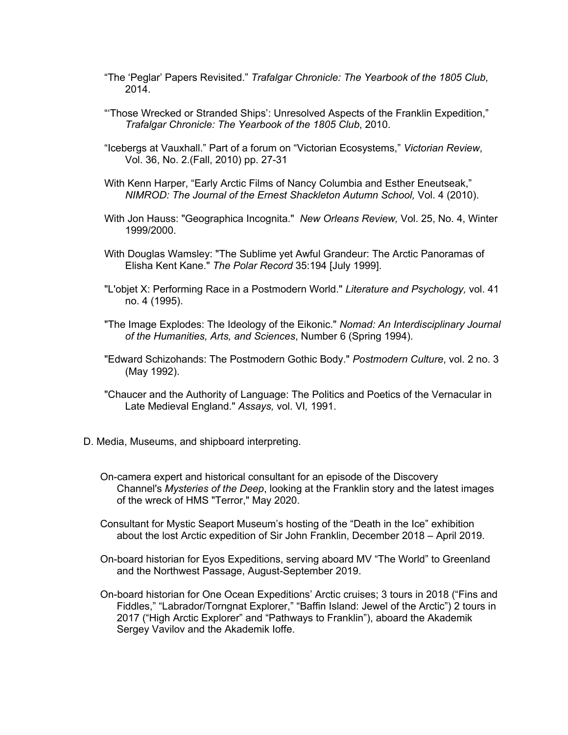- "The 'Peglar' Papers Revisited." *Trafalgar Chronicle: The Yearbook of the 1805 Club*, 2014.
- "'Those Wrecked or Stranded Ships': Unresolved Aspects of the Franklin Expedition," *Trafalgar Chronicle: The Yearbook of the 1805 Club*, 2010.
- "Icebergs at Vauxhall." Part of a forum on "Victorian Ecosystems," *Victorian Review*, Vol. 36, No. 2.(Fall, 2010) pp. 27-31
- With Kenn Harper, "Early Arctic Films of Nancy Columbia and Esther Eneutseak," *NIMROD: The Journal of the Ernest Shackleton Autumn School,* Vol. 4 (2010).
- With Jon Hauss: "Geographica Incognita." *New Orleans Review,* Vol. 25, No. 4, Winter 1999/2000.
- With Douglas Wamsley: "The Sublime yet Awful Grandeur: The Arctic Panoramas of Elisha Kent Kane." *The Polar Record* 35:194 [July 1999].
- "L'objet X: Performing Race in a Postmodern World." *Literature and Psychology,* vol. 41 no. 4 (1995).
- "The Image Explodes: The Ideology of the Eikonic." *Nomad: An Interdisciplinary Journal of the Humanities, Arts, and Sciences*, Number 6 (Spring 1994).
- "Edward Schizohands: The Postmodern Gothic Body." *Postmodern Culture*, vol. 2 no. 3 (May 1992).
- "Chaucer and the Authority of Language: The Politics and Poetics of the Vernacular in Late Medieval England." *Assays,* vol. VI*,* 1991.
- D. Media, Museums, and shipboard interpreting.
	- On-camera expert and historical consultant for an episode of the Discovery Channel's *Mysteries of the Deep*, looking at the Franklin story and the latest images of the wreck of HMS "Terror," May 2020.
	- Consultant for Mystic Seaport Museum's hosting of the "Death in the Ice" exhibition about the lost Arctic expedition of Sir John Franklin, December 2018 – April 2019.
	- On-board historian for Eyos Expeditions, serving aboard MV "The World" to Greenland and the Northwest Passage, August-September 2019.
	- On-board historian for One Ocean Expeditions' Arctic cruises; 3 tours in 2018 ("Fins and Fiddles," "Labrador/Torngnat Explorer," "Baffin Island: Jewel of the Arctic") 2 tours in 2017 ("High Arctic Explorer" and "Pathways to Franklin"), aboard the Akademik Sergey Vavilov and the Akademik loffe.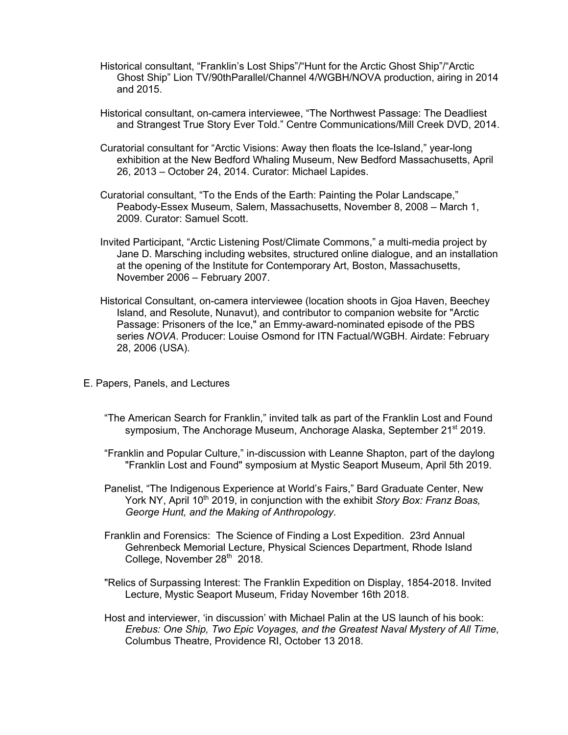- Historical consultant, "Franklin's Lost Ships"/"Hunt for the Arctic Ghost Ship"/"Arctic Ghost Ship" Lion TV/90thParallel/Channel 4/WGBH/NOVA production, airing in 2014 and 2015.
- Historical consultant, on-camera interviewee, "The Northwest Passage: The Deadliest and Strangest True Story Ever Told." Centre Communications/Mill Creek DVD, 2014.
- Curatorial consultant for "Arctic Visions: Away then floats the Ice-Island," year-long exhibition at the New Bedford Whaling Museum, New Bedford Massachusetts, April 26, 2013 – October 24, 2014. Curator: Michael Lapides.
- Curatorial consultant, "To the Ends of the Earth: Painting the Polar Landscape," Peabody-Essex Museum, Salem, Massachusetts, November 8, 2008 – March 1, 2009. Curator: Samuel Scott.
- Invited Participant, "Arctic Listening Post/Climate Commons," a multi-media project by Jane D. Marsching including websites, structured online dialogue, and an installation at the opening of the Institute for Contemporary Art, Boston, Massachusetts, November 2006 – February 2007.
- Historical Consultant, on-camera interviewee (location shoots in Gjoa Haven, Beechey Island, and Resolute, Nunavut), and contributor to companion website for "Arctic Passage: Prisoners of the Ice," an Emmy-award-nominated episode of the PBS series *NOVA*. Producer: Louise Osmond for ITN Factual/WGBH. Airdate: February 28, 2006 (USA).
- E. Papers, Panels, and Lectures
	- "The American Search for Franklin," invited talk as part of the Franklin Lost and Found symposium, The Anchorage Museum, Anchorage Alaska, September 21<sup>st</sup> 2019.
	- "Franklin and Popular Culture," in-discussion with Leanne Shapton, part of the daylong "Franklin Lost and Found" symposium at Mystic Seaport Museum, April 5th 2019.
	- Panelist, "The Indigenous Experience at World's Fairs," Bard Graduate Center, New York NY, April 10<sup>th</sup> 2019, in conjunction with the exhibit *Story Box: Franz Boas, George Hunt, and the Making of Anthropology*.
	- Franklin and Forensics: The Science of Finding a Lost Expedition. 23rd Annual Gehrenbeck Memorial Lecture, Physical Sciences Department, Rhode Island College, November 28<sup>th</sup> 2018.
	- "Relics of Surpassing Interest: The Franklin Expedition on Display, 1854-2018. Invited Lecture, Mystic Seaport Museum, Friday November 16th 2018.
	- Host and interviewer, 'in discussion' with Michael Palin at the US launch of his book: *Erebus: One Ship, Two Epic Voyages, and the Greatest Naval Mystery of All Time*, Columbus Theatre, Providence RI, October 13 2018.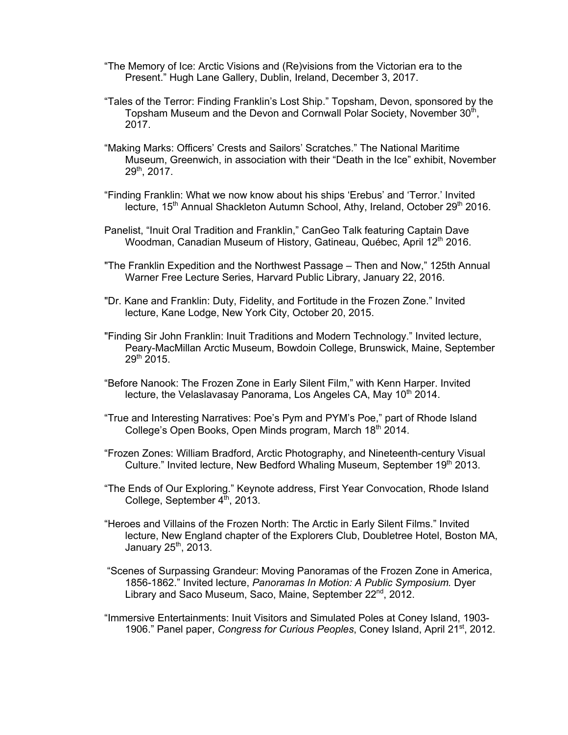- "The Memory of Ice: Arctic Visions and (Re)visions from the Victorian era to the Present." Hugh Lane Gallery, Dublin, Ireland, December 3, 2017.
- "Tales of the Terror: Finding Franklin's Lost Ship." Topsham, Devon, sponsored by the Topsham Museum and the Devon and Cornwall Polar Society, November  $30<sup>th</sup>$ , 2017.
- "Making Marks: Officers' Crests and Sailors' Scratches." The National Maritime Museum, Greenwich, in association with their "Death in the Ice" exhibit, November 29th, 2017.
- "Finding Franklin: What we now know about his ships 'Erebus' and 'Terror.' Invited lecture, 15<sup>th</sup> Annual Shackleton Autumn School, Athy, Ireland, October 29<sup>th</sup> 2016.
- Panelist, "Inuit Oral Tradition and Franklin," CanGeo Talk featuring Captain Dave Woodman, Canadian Museum of History, Gatineau, Québec, April 12<sup>th</sup> 2016.
- "The Franklin Expedition and the Northwest Passage Then and Now," 125th Annual Warner Free Lecture Series, Harvard Public Library, January 22, 2016.
- "Dr. Kane and Franklin: Duty, Fidelity, and Fortitude in the Frozen Zone." Invited lecture, Kane Lodge, New York City, October 20, 2015.
- "Finding Sir John Franklin: Inuit Traditions and Modern Technology." Invited lecture, Peary-MacMillan Arctic Museum, Bowdoin College, Brunswick, Maine, September 29th 2015.
- "Before Nanook: The Frozen Zone in Early Silent Film," with Kenn Harper. Invited lecture, the Velaslavasay Panorama, Los Angeles CA, May 10<sup>th</sup> 2014.
- "True and Interesting Narratives: Poe's Pym and PYM's Poe," part of Rhode Island College's Open Books, Open Minds program, March 18<sup>th</sup> 2014.
- "Frozen Zones: William Bradford, Arctic Photography, and Nineteenth-century Visual Culture." Invited lecture, New Bedford Whaling Museum, September 19th 2013.
- "The Ends of Our Exploring." Keynote address, First Year Convocation, Rhode Island College, September  $4<sup>th</sup>$ , 2013.
- "Heroes and Villains of the Frozen North: The Arctic in Early Silent Films." Invited lecture, New England chapter of the Explorers Club, Doubletree Hotel, Boston MA, January 25<sup>th</sup>, 2013.
- "Scenes of Surpassing Grandeur: Moving Panoramas of the Frozen Zone in America, 1856-1862." Invited lecture, *Panoramas In Motion: A Public Symposium.* Dyer Library and Saco Museum, Saco, Maine, September 22<sup>nd</sup>, 2012.
- "Immersive Entertainments: Inuit Visitors and Simulated Poles at Coney Island, 1903- 1906." Panel paper, *Congress for Curious Peoples*, Coney Island, April 21<sup>st</sup>, 2012.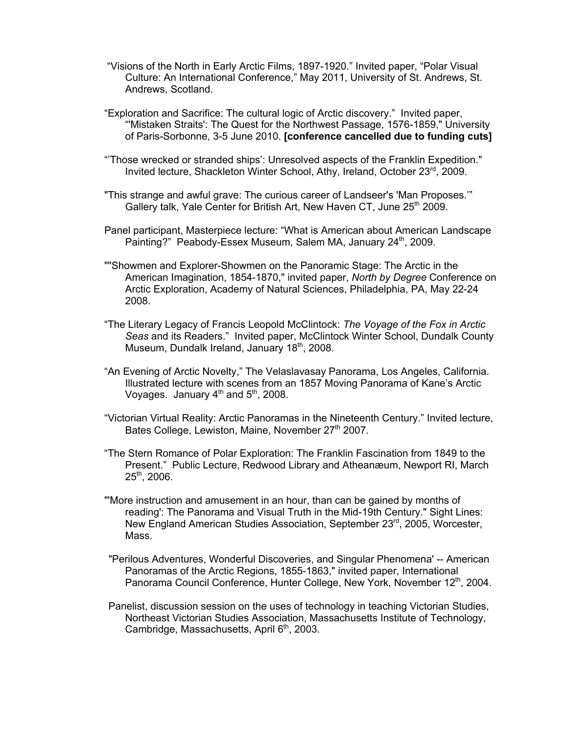- "Visions of the North in Early Arctic Films, 1897-1920." Invited paper, "Polar Visual Culture: An International Conference," May 2011, University of St. Andrews, St. Andrews, Scotland.
- "Exploration and Sacrifice: The cultural logic of Arctic discovery." Invited paper, "'Mistaken Straits': The Quest for the Northwest Passage, 1576-1859," University of Paris-Sorbonne, 3-5 June 2010. **[conference cancelled due to funding cuts]**
- "'Those wrecked or stranded ships': Unresolved aspects of the Franklin Expedition." Invited lecture, Shackleton Winter School, Athy, Ireland, October 23rd, 2009.
- "This strange and awful grave: The curious career of Landseer's 'Man Proposes.'" Gallery talk, Yale Center for British Art, New Haven CT, June 25<sup>th</sup> 2009.
- Panel participant, Masterpiece lecture: "What is American about American Landscape Painting?" Peabody-Essex Museum, Salem MA, January 24<sup>th</sup>, 2009.
- ""Showmen and Explorer-Showmen on the Panoramic Stage: The Arctic in the American Imagination, 1854-1870," invited paper, *North by Degree* Conference on Arctic Exploration, Academy of Natural Sciences, Philadelphia, PA, May 22-24 2008.
- "The Literary Legacy of Francis Leopold McClintock: *The Voyage of the Fox in Arctic Seas* and its Readers." Invited paper, McClintock Winter School, Dundalk County Museum, Dundalk Ireland, January 18<sup>th</sup>, 2008.
- "An Evening of Arctic Novelty," The Velaslavasay Panorama, Los Angeles, California. Illustrated lecture with scenes from an 1857 Moving Panorama of Kane's Arctic Voyages. January  $4<sup>th</sup>$  and  $5<sup>th</sup>$ , 2008.
- "Victorian Virtual Reality: Arctic Panoramas in the Nineteenth Century." Invited lecture, Bates College, Lewiston, Maine, November 27<sup>th</sup> 2007.
- "The Stern Romance of Polar Exploration: The Franklin Fascination from 1849 to the Present." Public Lecture, Redwood Library and Atheanæum, Newport RI, March 25th, 2006.
- "'More instruction and amusement in an hour, than can be gained by months of reading': The Panorama and Visual Truth in the Mid-19th Century." Sight Lines: New England American Studies Association, September 23<sup>rd</sup>, 2005, Worcester, Mass.
- "Perilous Adventures, Wonderful Discoveries, and Singular Phenomena' -- American Panoramas of the Arctic Regions, 1855-1863," invited paper, International Panorama Council Conference, Hunter College, New York, November 12<sup>th</sup>, 2004.
- Panelist, discussion session on the uses of technology in teaching Victorian Studies, Northeast Victorian Studies Association, Massachusetts Institute of Technology, Cambridge, Massachusetts, April 6<sup>th</sup>, 2003.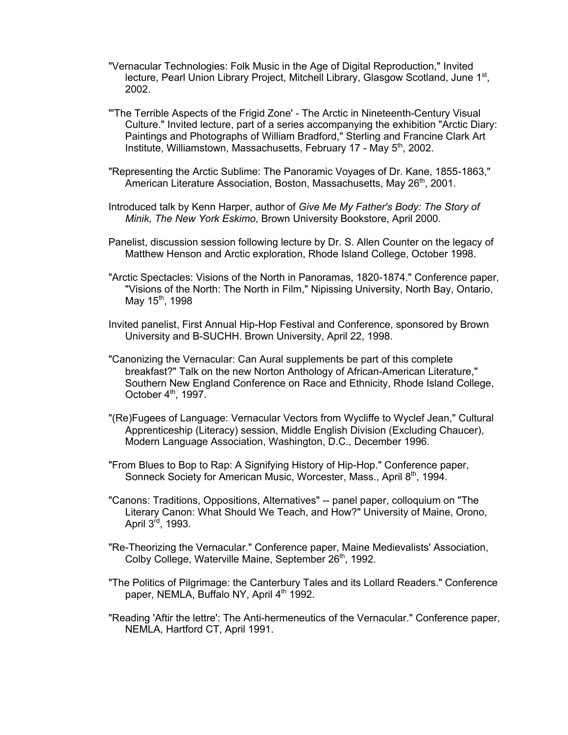- "Vernacular Technologies: Folk Music in the Age of Digital Reproduction," Invited lecture, Pearl Union Library Project, Mitchell Library, Glasgow Scotland, June 1st, 2002.
- "'The Terrible Aspects of the Frigid Zone' The Arctic in Nineteenth-Century Visual Culture." Invited lecture, part of a series accompanying the exhibition "Arctic Diary: Paintings and Photographs of William Bradford," Sterling and Francine Clark Art Institute, Williamstown, Massachusetts, February 17 - May 5<sup>th</sup>, 2002.
- "Representing the Arctic Sublime: The Panoramic Voyages of Dr. Kane, 1855-1863," American Literature Association, Boston, Massachusetts, May 26<sup>th</sup>, 2001.
- Introduced talk by Kenn Harper, author of *Give Me My Father's Body: The Story of Minik, The New York Eskimo*, Brown University Bookstore, April 2000.
- Panelist, discussion session following lecture by Dr. S. Allen Counter on the legacy of Matthew Henson and Arctic exploration, Rhode Island College, October 1998.
- "Arctic Spectacles: Visions of the North in Panoramas, 1820-1874." Conference paper, "Visions of the North: The North in Film," Nipissing University, North Bay, Ontario, May 15<sup>th</sup>, 1998
- Invited panelist, First Annual Hip-Hop Festival and Conference, sponsored by Brown University and B-SUCHH. Brown University, April 22, 1998.
- "Canonizing the Vernacular: Can Aural supplements be part of this complete breakfast?" Talk on the new Norton Anthology of African-American Literature," Southern New England Conference on Race and Ethnicity, Rhode Island College, October 4<sup>th</sup>, 1997.
- "(Re)Fugees of Language: Vernacular Vectors from Wycliffe to Wyclef Jean," Cultural Apprenticeship (Literacy) session, Middle English Division (Excluding Chaucer), Modern Language Association, Washington, D.C., December 1996.
- "From Blues to Bop to Rap: A Signifying History of Hip-Hop." Conference paper, Sonneck Society for American Music, Worcester, Mass., April 8<sup>th</sup>, 1994.
- "Canons: Traditions, Oppositions, Alternatives" -- panel paper, colloquium on "The Literary Canon: What Should We Teach, and How?" University of Maine, Orono, April 3<sup>rd</sup>, 1993.
- "Re-Theorizing the Vernacular." Conference paper, Maine Medievalists' Association, Colby College, Waterville Maine, September 26<sup>th</sup>, 1992.
- "The Politics of Pilgrimage: the Canterbury Tales and its Lollard Readers." Conference paper, NEMLA, Buffalo NY, April 4<sup>th</sup> 1992.
- "Reading 'Aftir the lettre': The Anti-hermeneutics of the Vernacular." Conference paper, NEMLA, Hartford CT, April 1991.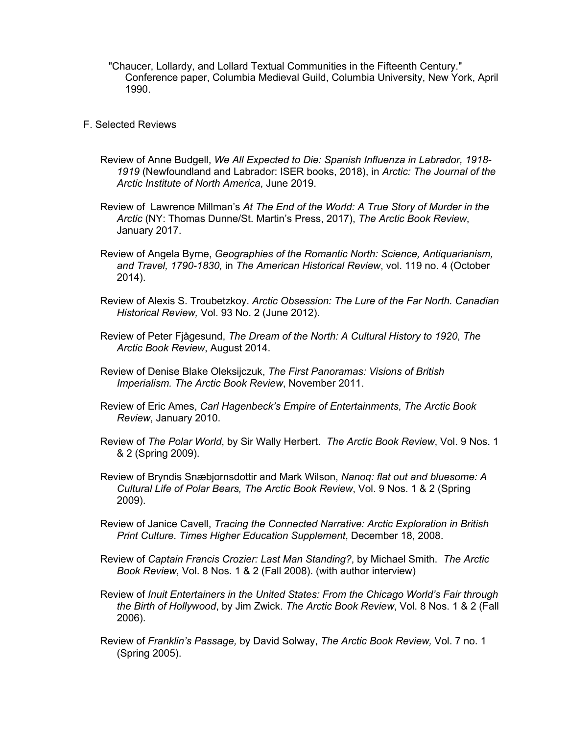"Chaucer, Lollardy, and Lollard Textual Communities in the Fifteenth Century." Conference paper, Columbia Medieval Guild, Columbia University, New York, April 1990.

- F. Selected Reviews
	- Review of Anne Budgell, *We All Expected to Die: Spanish Influenza in Labrador, 1918- 1919* (Newfoundland and Labrador: ISER books, 2018), in *Arctic: The Journal of the Arctic Institute of North America*, June 2019.
	- Review of Lawrence Millman's *At The End of the World: A True Story of Murder in the Arctic* (NY: Thomas Dunne/St. Martin's Press, 2017), *The Arctic Book Review*, January 2017.
	- Review of Angela Byrne, *Geographies of the Romantic North: Science, Antiquarianism, and Travel, 1790-1830,* in *The American Historical Review*, vol. 119 no. 4 (October 2014).
	- Review of Alexis S. Troubetzkoy. *Arctic Obsession: The Lure of the Far North. Canadian Historical Review,* Vol. 93 No. 2 (June 2012).
	- Review of Peter Fjågesund, *The Dream of the North: A Cultural History to 1920*, *The Arctic Book Review*, August 2014.
	- Review of Denise Blake Oleksijczuk, *The First Panoramas: Visions of British Imperialism. The Arctic Book Review*, November 2011.
	- Review of Eric Ames, *Carl Hagenbeck's Empire of Entertainments*, *The Arctic Book Review*, January 2010.
	- Review of *The Polar World*, by Sir Wally Herbert. *The Arctic Book Review*, Vol. 9 Nos. 1 & 2 (Spring 2009).
	- Review of Bryndis Snæbjornsdottir and Mark Wilson, *Nanoq: flat out and bluesome: A Cultural Life of Polar Bears, The Arctic Book Review*, Vol. 9 Nos. 1 & 2 (Spring 2009).
	- Review of Janice Cavell, *Tracing the Connected Narrative: Arctic Exploration in British Print Culture*. *Times Higher Education Supplement*, December 18, 2008.
	- Review of *Captain Francis Crozier: Last Man Standing?*, by Michael Smith. *The Arctic Book Review*, Vol. 8 Nos. 1 & 2 (Fall 2008). (with author interview)
	- Review of *Inuit Entertainers in the United States: From the Chicago World's Fair through the Birth of Hollywood*, by Jim Zwick. *The Arctic Book Review*, Vol. 8 Nos. 1 & 2 (Fall 2006).
	- Review of *Franklin's Passage,* by David Solway, *The Arctic Book Review,* Vol. 7 no. 1 (Spring 2005).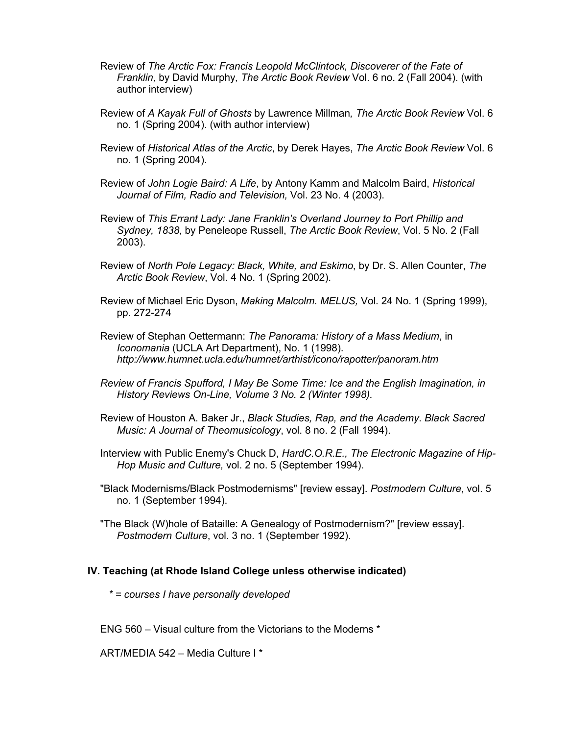- Review of *The Arctic Fox: Francis Leopold McClintock, Discoverer of the Fate of Franklin,* by David Murphy*, The Arctic Book Review* Vol. 6 no. 2 (Fall 2004). (with author interview)
- Review of *A Kayak Full of Ghosts* by Lawrence Millman*, The Arctic Book Review* Vol. 6 no. 1 (Spring 2004). (with author interview)
- Review of *Historical Atlas of the Arctic*, by Derek Hayes, *The Arctic Book Review* Vol. 6 no. 1 (Spring 2004).
- Review of *John Logie Baird: A Life*, by Antony Kamm and Malcolm Baird, *Historical Journal of Film, Radio and Television,* Vol. 23 No. 4 (2003).
- Review of *This Errant Lady: Jane Franklin's Overland Journey to Port Phillip and Sydney, 1838*, by Peneleope Russell, *The Arctic Book Review*, Vol. 5 No. 2 (Fall 2003).
- Review of *North Pole Legacy: Black, White, and Eskimo*, by Dr. S. Allen Counter, *The Arctic Book Review*, Vol. 4 No. 1 (Spring 2002).
- Review of Michael Eric Dyson, *Making Malcolm. MELUS,* Vol. 24 No. 1 (Spring 1999), pp. 272-274
- Review of Stephan Oettermann: *The Panorama: History of a Mass Medium*, in *Iconomania* (UCLA Art Department), No. 1 (1998). *http://www.humnet.ucla.edu/humnet/arthist/icono/rapotter/panoram.htm*
- *Review of Francis Spufford, I May Be Some Time: Ice and the English Imagination, in History Reviews On-Line, Volume 3 No. 2 (Winter 1998).*
- Review of Houston A. Baker Jr., *Black Studies, Rap, and the Academy*. *Black Sacred Music: A Journal of Theomusicology*, vol. 8 no. 2 (Fall 1994).
- Interview with Public Enemy's Chuck D, *HardC.O.R.E., The Electronic Magazine of Hip-Hop Music and Culture,* vol. 2 no. 5 (September 1994).
- "Black Modernisms/Black Postmodernisms" [review essay]. *Postmodern Culture*, vol. 5 no. 1 (September 1994).
- "The Black (W)hole of Bataille: A Genealogy of Postmodernism?" [review essay]. *Postmodern Culture*, vol. 3 no. 1 (September 1992).

#### **IV. Teaching (at Rhode Island College unless otherwise indicated)**

*\* = courses I have personally developed*

ENG 560 – Visual culture from the Victorians to the Moderns \*

ART/MEDIA 542 – Media Culture I \*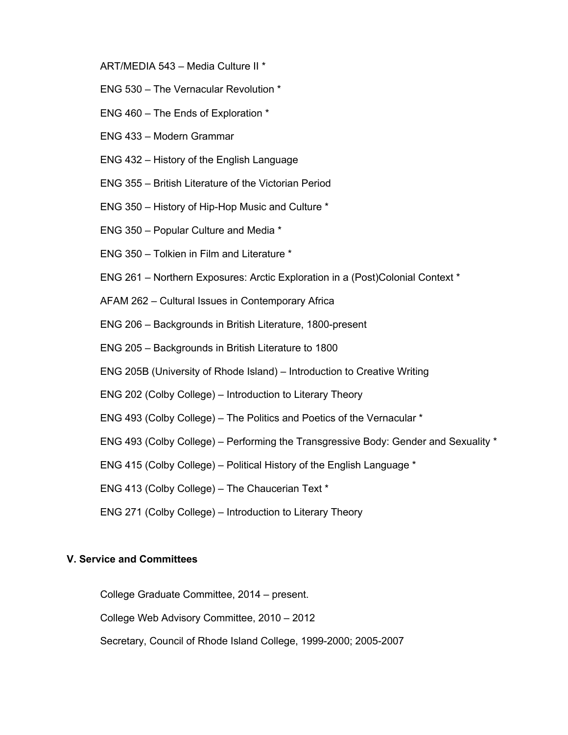- ART/MEDIA 543 Media Culture II \*
- ENG 530 The Vernacular Revolution \*
- ENG 460 The Ends of Exploration \*
- ENG 433 Modern Grammar
- ENG 432 History of the English Language
- ENG 355 British Literature of the Victorian Period
- ENG 350 History of Hip-Hop Music and Culture \*
- ENG 350 Popular Culture and Media \*
- ENG 350 Tolkien in Film and Literature \*
- ENG 261 Northern Exposures: Arctic Exploration in a (Post)Colonial Context \*
- AFAM 262 Cultural Issues in Contemporary Africa
- ENG 206 Backgrounds in British Literature, 1800-present
- ENG 205 Backgrounds in British Literature to 1800
- ENG 205B (University of Rhode Island) Introduction to Creative Writing
- ENG 202 (Colby College) Introduction to Literary Theory
- ENG 493 (Colby College) The Politics and Poetics of the Vernacular \*
- ENG 493 (Colby College) Performing the Transgressive Body: Gender and Sexuality \*
- ENG 415 (Colby College) Political History of the English Language \*
- ENG 413 (Colby College) The Chaucerian Text \*
- ENG 271 (Colby College) Introduction to Literary Theory

#### **V. Service and Committees**

College Graduate Committee, 2014 – present.

College Web Advisory Committee, 2010 – 2012

Secretary, Council of Rhode Island College, 1999-2000; 2005-2007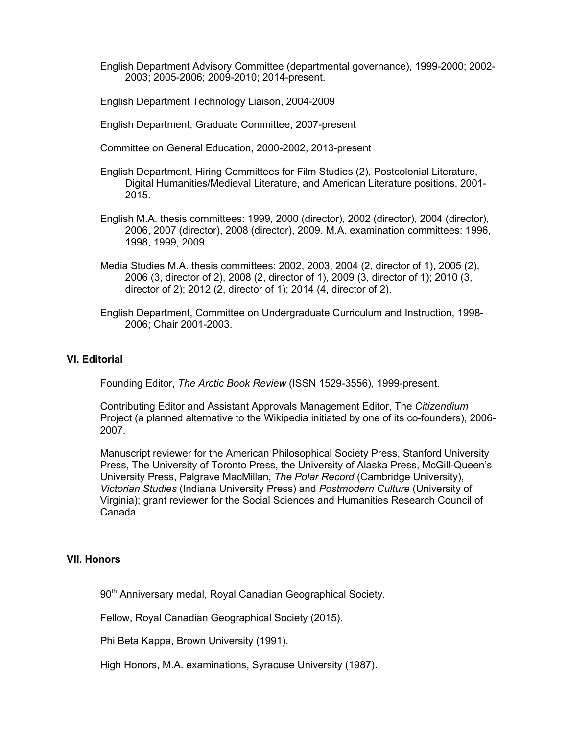English Department Advisory Committee (departmental governance), 1999-2000; 2002- 2003; 2005-2006; 2009-2010; 2014-present.

English Department Technology Liaison, 2004-2009

English Department, Graduate Committee, 2007-present

Committee on General Education, 2000-2002, 2013-present

English Department, Hiring Committees for Film Studies (2), Postcolonial Literature, Digital Humanities/Medieval Literature, and American Literature positions, 2001- 2015.

- English M.A. thesis committees: 1999, 2000 (director), 2002 (director), 2004 (director), 2006, 2007 (director), 2008 (director), 2009. M.A. examination committees: 1996, 1998, 1999, 2009.
- Media Studies M.A. thesis committees: 2002, 2003, 2004 (2, director of 1), 2005 (2), 2006 (3, director of 2), 2008 (2, director of 1), 2009 (3, director of 1); 2010 (3, director of 2); 2012 (2, director of 1); 2014 (4, director of 2).
- English Department, Committee on Undergraduate Curriculum and Instruction, 1998- 2006; Chair 2001-2003.

#### **VI. Editorial**

Founding Editor, *The Arctic Book Review* (ISSN 1529-3556), 1999-present.

Contributing Editor and Assistant Approvals Management Editor, The *Citizendium* Project (a planned alternative to the Wikipedia initiated by one of its co-founders), 2006- 2007.

Manuscript reviewer for the American Philosophical Society Press, Stanford University Press, The University of Toronto Press, the University of Alaska Press, McGill-Queen's University Press, Palgrave MacMillan, *The Polar Record* (Cambridge University), *Victorian Studies* (Indiana University Press) and *Postmodern Culture* (University of Virginia); grant reviewer for the Social Sciences and Humanities Research Council of Canada.

#### **VII. Honors**

90<sup>th</sup> Anniversary medal, Royal Canadian Geographical Society.

Fellow, Royal Canadian Geographical Society (2015).

Phi Beta Kappa, Brown University (1991).

High Honors, M.A. examinations, Syracuse University (1987).